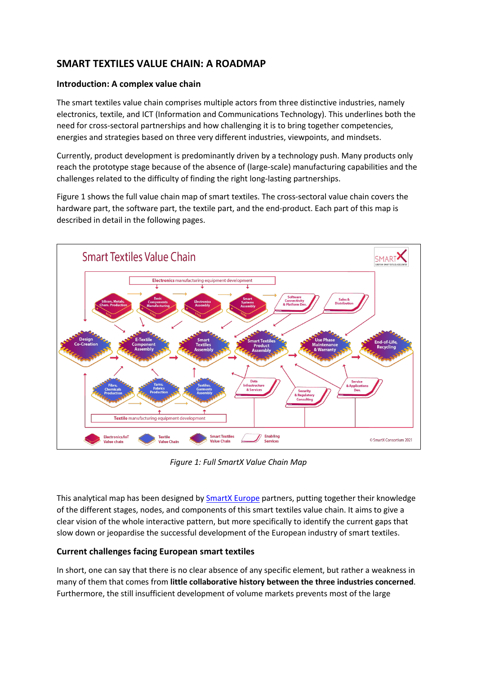# **SMART TEXTILES VALUE CHAIN: A ROADMAP**

#### **Introduction: A complex value chain**

The smart textiles value chain comprises multiple actors from three distinctive industries, namely electronics, textile, and ICT (Information and Communications Technology). This underlines both the need for cross-sectoral partnerships and how challenging it is to bring together competencies, energies and strategies based on three very different industries, viewpoints, and mindsets.

Currently, product development is predominantly driven by a technology push. Many products only reach the prototype stage because of the absence of (large-scale) manufacturing capabilities and the challenges related to the difficulty of finding the right long-lasting partnerships.

Figure 1 shows the full value chain map of smart textiles. The cross-sectoral value chain covers the hardware part, the software part, the textile part, and the end-product. Each part of this map is described in detail in the following pages.



*Figure 1: Full SmartX Value Chain Map*

This analytical map has been designed by **[SmartX](https://www.smartx-europe.eu/) Europe** partners, putting together their knowledge of the different stages, nodes, and components of this smart textiles value chain. It aims to give a clear vision of the whole interactive pattern, but more specifically to identify the current gaps that slow down or jeopardise the successful development of the European industry of smart textiles.

# **Current challenges facing European smart textiles**

In short, one can say that there is no clear absence of any specific element, but rather a weakness in many of them that comes from **little collaborative history between the three industries concerned**. Furthermore, the still insufficient development of volume markets prevents most of the large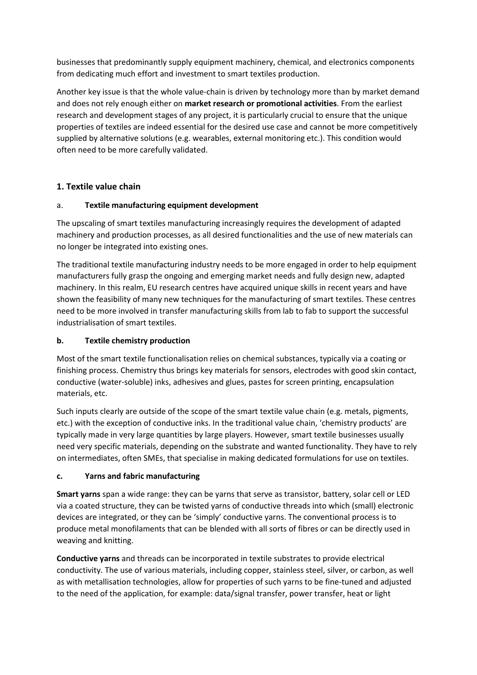businesses that predominantly supply equipment machinery, chemical, and electronics components from dedicating much effort and investment to smart textiles production.

Another key issue is that the whole value-chain is driven by technology more than by market demand and does not rely enough either on **market research or promotional activities**. From the earliest research and development stages of any project, it is particularly crucial to ensure that the unique properties of textiles are indeed essential for the desired use case and cannot be more competitively supplied by alternative solutions (e.g. wearables, external monitoring etc.). This condition would often need to be more carefully validated.

# **1. Textile value chain**

# a. **Textile manufacturing equipment development**

The upscaling of smart textiles manufacturing increasingly requires the development of adapted machinery and production processes, as all desired functionalities and the use of new materials can no longer be integrated into existing ones.

The traditional textile manufacturing industry needs to be more engaged in order to help equipment manufacturers fully grasp the ongoing and emerging market needs and fully design new, adapted machinery. In this realm, EU research centres have acquired unique skills in recent years and have shown the feasibility of many new techniques for the manufacturing of smart textiles. These centres need to be more involved in transfer manufacturing skills from lab to fab to support the successful industrialisation of smart textiles

# **b. Textile chemistry production**

Most of the smart textile functionalisation relies on chemical substances, typically via a coating or finishing process. Chemistry thus brings key materials for sensors, electrodes with good skin contact, conductive (water-soluble) inks, adhesives and glues, pastes for screen printing, encapsulation materials, etc.

Such inputs clearly are outside of the scope of the smart textile value chain (e.g. metals, pigments, etc.) with the exception of conductive inks. In the traditional value chain, 'chemistry products' are typically made in very large quantities by large players. However, smart textile businesses usually need very specific materials, depending on the substrate and wanted functionality. They have to rely on intermediates, often SMEs, that specialise in making dedicated formulations for use on textiles.

# **c. Yarns and fabric manufacturing**

**Smart yarns** span a wide range: they can be yarns that serve as transistor, battery, solar cell or LED via a coated structure, they can be twisted yarns of conductive threads into which (small) electronic devices are integrated, or they can be 'simply' conductive yarns. The conventional process is to produce metal monofilaments that can be blended with all sorts of fibres or can be directly used in weaving and knitting.

**Conductive yarns** and threads can be incorporated in textile substrates to provide electrical conductivity. The use of various materials, including copper, stainless steel, silver, or carbon, as well as with metallisation technologies, allow for properties of such yarns to be fine-tuned and adjusted to the need of the application, for example: data/signal transfer, power transfer, heat or light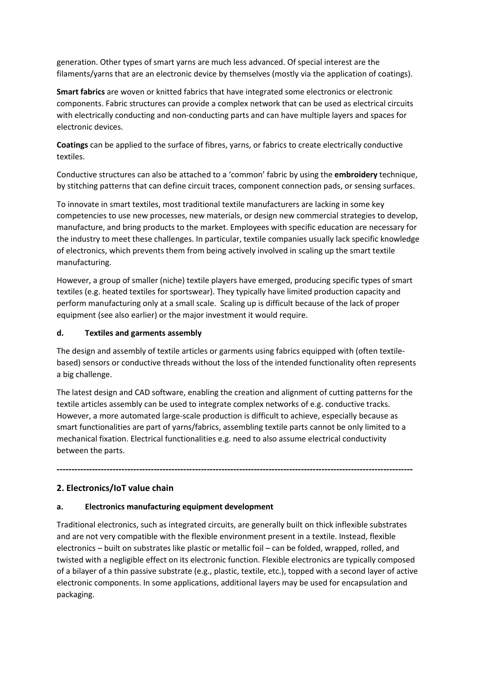generation. Other types of smart yarns are much less advanced. Of special interest are the filaments/yarns that are an electronic device by themselves (mostly via the application of coatings).

**Smart fabrics** are woven or knitted fabrics that have integrated some electronics or electronic components. Fabric structures can provide a complex network that can be used as electrical circuits with electrically conducting and non-conducting parts and can have multiple layers and spaces for electronic devices.

**Coatings** can be applied to the surface of fibres, yarns, or fabrics to create electrically conductive textiles.

Conductive structures can also be attached to a 'common' fabric by using the **embroidery** technique, by stitching patterns that can define circuit traces, component connection pads, or sensing surfaces.

To innovate in smart textiles, most traditional textile manufacturers are lacking in some key competencies to use new processes, new materials, or design new commercial strategies to develop, manufacture, and bring products to the market. Employees with specific education are necessary for the industry to meet these challenges. In particular, textile companies usually lack specific knowledge of electronics, which prevents them from being actively involved in scaling up the smart textile manufacturing.

However, a group of smaller (niche) textile players have emerged, producing specific types of smart textiles (e.g. heated textiles for sportswear). They typically have limited production capacity and perform manufacturing only at a small scale. Scaling up is difficult because of the lack of proper equipment (see also earlier) or the major investment it would require.

#### **d. Textiles and garments assembly**

The design and assembly of textile articles or garments using fabrics equipped with (often textile based) sensors or conductive threads without the loss of the intended functionality often represents a big challenge.

The latest design and CAD software, enabling the creation and alignment of cutting patterns for the textile articles assembly can be used to integrate complex networks of e.g. conductive tracks. However, a more automated large-scale production is difficult to achieve, especially because as smart functionalities are part of yarns/fabrics, assembling textile parts cannot be only limited to a mechanical fixation. Electrical functionalities e.g. need to also assume electrical conductivity between the parts.

**-------------------------------------------------------------------------------------------------------------------------**

# **2. Electronics/IoT value chain**

#### **a. Electronics manufacturing equipment development**

Traditional electronics, such as integrated circuits, are generally built on thick inflexible substrates and are not very compatible with the flexible environment present in a textile. Instead, flexible electronics – built on substrates like plastic or metallic foil – can be folded, wrapped, rolled, and twisted with a negligible effect on its electronic function. Flexible electronics are typically composed of a bilayer of a thin passive substrate (e.g., plastic, textile, etc.), topped with a second layer of active electronic components. In some applications, additional layers may be used for encapsulation and packaging.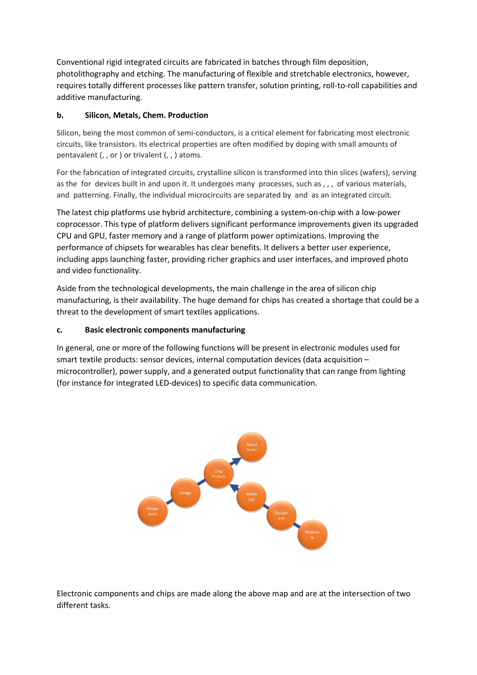Conventional rigid integrated circuits are fabricated in batches through film deposition, photolithography and etching. The manufacturing of flexible and stretchable electronics, however, requires totally different processes like pattern transfer, solution printing, roll-to-roll capabilities and additive manufacturing.

### **b. Silicon, Metals, Chem. Production**

Silicon, being the most common of semi-conductors, is a critical element for fabricating most electronic circuits, like transistors. Its electrical properties are often modified by doping with small amounts of pentavalent (, , or ) or trivalent (, , ) atoms.

For the fabrication of integrated circuits, crystalline silicon is transformed into thin slices (wafers), serving as the for devices built in and upon it. It undergoes many processes, such as , , , of various materials, and patterning. Finally, the individual microcircuits are separated by and as an integrated circuit.

The latest chip platforms use hybrid architecture, combining a system-on-chip with a low-power coprocessor. This type of platform delivers significant performance improvements given its upgraded CPU and GPU, faster memory and a range of platform power optimizations. Improving the performance of chipsets for wearables has clear benefits. It delivers a better user experience, including apps launching faster, providing richer graphics and user interfaces, and improved photo and video functionality.

Aside from the technological developments, the main challenge in the area of silicon chip manufacturing, is their availability. The huge demand for chips has created a shortage that could be a threat to the development of smart textiles applications.

### **c. Basic electronic components manufacturing**

In general, one or more of the following functions will be present in electronic modules used for smart textile products: sensor devices, internal computation devices (data acquisition – microcontroller), power supply, and a generated output functionality that can range from lighting (for instance for integrated LED-devices) to specific data communication.



Electronic components and chips are made along the above map and are at the intersection of two different tasks.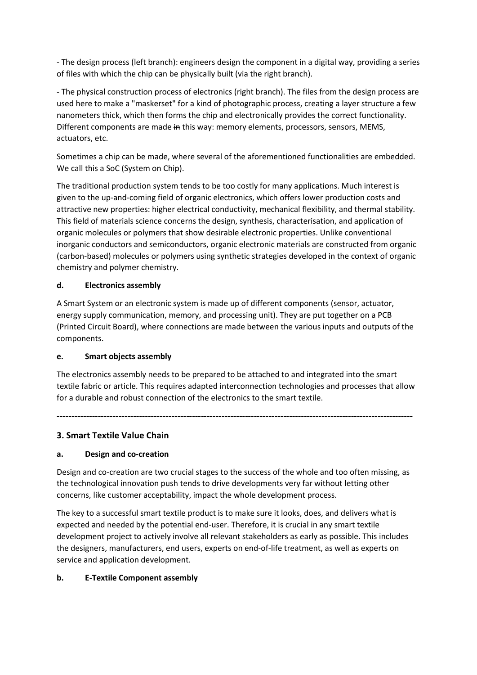- The design process (left branch): engineers design the component in a digital way, providing a series of files with which the chip can be physically built (via the right branch).

- The physical construction process of electronics (right branch). The files from the design processare used here to make a "maskerset" for a kind of photographic process, creating a layer structure a few nanometers thick, which then forms the chip and electronically provides the correct functionality. Different components are made in this way: memory elements, processors, sensors, MEMS, actuators, etc.

Sometimes a chip can be made, where several of the aforementioned functionalities are embedded. We call this a SoC (System on Chip).

The traditional production system tends to be too costly for many applications. Much interest is given to the up-and-coming field of organic electronics, which offers lower production costs and attractive new properties: higher electrical conductivity, mechanical flexibility, and thermal stability. This field of materials science concerns the design, synthesis, characterisation, and application of organic molecules or polymers that show desirable electronic properties. Unlike conventional inorganic conductors and semiconductors, organic electronic materials are constructed from organic (carbon-based) molecules or polymers using synthetic strategies developed in the context of organic chemistry and polymer chemistry.

### **d. Electronics assembly**

A Smart System or an electronic system is made up of different components (sensor, actuator, energy supply communication, memory, and processing unit). They are put together on a PCB (Printed Circuit Board), where connections are made between the various inputs and outputs of the components.

#### **e. Smart objects assembly**

The electronics assembly needs to be prepared to be attached to and integrated into the smart textile fabric or article. This requires adapted interconnection technologies and processes that allow for a durable and robust connection of the electronics to the smart textile.

**-------------------------------------------------------------------------------------------------------------------------**

# **3. Smart Textile Value Chain**

# **a. Design and co-creation**

Design and co-creation are two crucial stages to the success of the whole and too often missing, as the technological innovation push tends to drive developments very far without letting other concerns, like customer acceptability, impact the whole development process.

The key to a successful smart textile product is to make sure it looks, does, and delivers what is expected and needed by the potential end-user. Therefore, it is crucial in any smart textile development project to actively involve all relevant stakeholders as early as possible. This includes the designers, manufacturers, end users, experts on end-of-life treatment, as well as experts on service and application development.

#### **b. E-Textile Component assembly**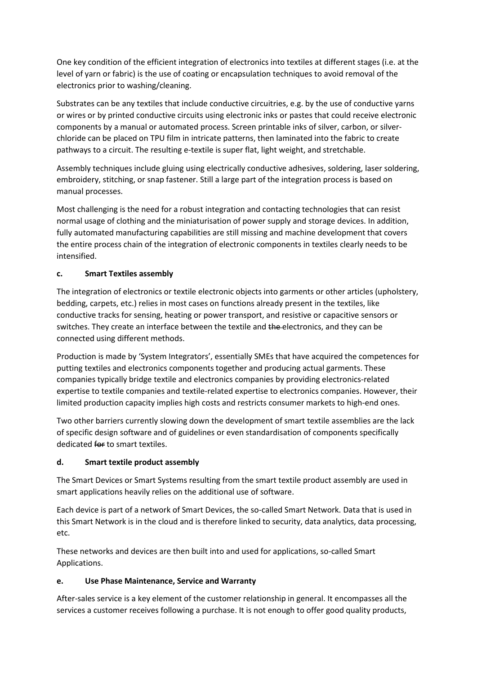One key condition of the efficient integration of electronics into textiles at different stages (i.e. at the level of yarn or fabric) is the use of coating or encapsulation techniques to avoid removal of the electronics prior to washing/cleaning.

Substrates can be any textiles that include conductive circuitries, e.g. by the use of conductive yarns or wires or by printed conductive circuits using electronic inks or pastes that could receive electronic components by a manual or automated process. Screen printable inks of silver, carbon, or silver chloride can be placed on TPU film in intricate patterns, then laminated into the fabric to create pathways to a circuit. The resulting e-textile is super flat, light weight, and stretchable.

Assembly techniques include gluing using electrically conductive adhesives, soldering, laser soldering, embroidery, stitching, or snap fastener. Still a large part of the integration process is based on manual processes.

Most challenging is the need for a robust integration and contacting technologies that can resist normal usage of clothing and the miniaturisation of power supply and storage devices. In addition, fully automated manufacturing capabilities are still missing and machine development that covers the entire process chain of the integration of electronic components in textiles clearly needs to be intensified.

# **c. Smart Textiles assembly**

The integration of electronics or textile electronic objects into garments or other articles (upholstery, bedding, carpets, etc.) relies in most cases on functions already present in the textiles, like conductive tracks for sensing, heating or power transport, and resistive or capacitive sensors or switches. They create an interface between the textile and the electronics, and they can be connected using different methods.

Production is made by 'System Integrators', essentially SMEs that have acquired the competences for putting textiles and electronics components together and producing actual garments. These companies typically bridge textile and electronics companies by providing electronics-related expertise to textile companies and textile-related expertise to electronics companies. However, their limited production capacity implies high costs and restricts consumer markets to high-end ones.

Two other barriers currently slowing down the development of smart textile assemblies are the lack of specific design software and of guidelines or even standardisation of components specifically dedicated for to smart textiles.

#### **d. Smart textile product assembly**

The Smart Devices or Smart Systems resulting from the smart textile product assembly are used in smart applications heavily relies on the additional use of software.

Each device is part of a network of Smart Devices, the so-called Smart Network. Data that is used in this Smart Network is in the cloud and is therefore linked to security, data analytics, data processing, etc.

These networks and devices are then built into and used for applications, so-called Smart Applications.

# **e. Use Phase Maintenance, Service and Warranty**

After-sales service is a key element of the customer relationship in general. It encompasses all the services a customer receives following a purchase. It is not enough to offer good quality products,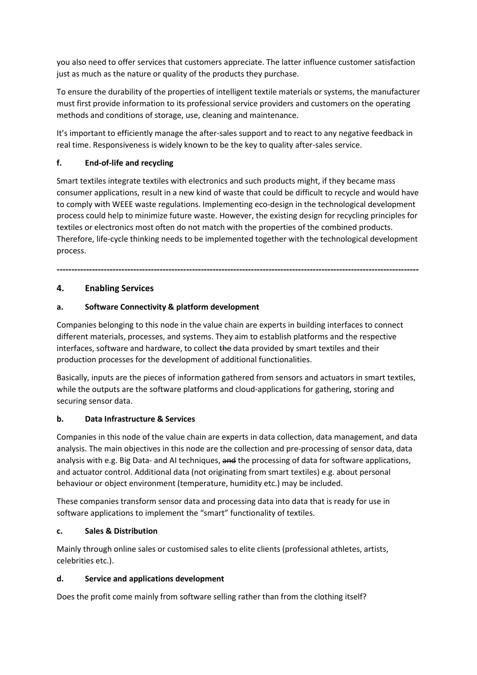you also need to offer services that customers appreciate. The latter influence customer satisfaction just as much as the nature or quality of the products they purchase.

To ensure the durability of the properties of intelligent textile materials or systems, the manufacturer must first provide information to its professional service providers and customers on the operating methods and conditions of storage, use, cleaning and maintenance.

It's important to efficiently manage the after-sales support and to react to any negative feedback in real time. Responsiveness is widely known to be the key to quality after-sales service.

### **f. End-of-life and recycling**

Smart textiles integrate textiles with electronics and such products might, if they became mass consumer applications, result in a new kind of waste that could be difficult to recycle and would have to comply with WEEE waste regulations. Implementing eco-design in the technological development process could help to minimize future waste. However, the existing design for recycling principles for textiles or electronics most often do not match with the properties of the combined products. Therefore, life-cycle thinking needs to be implemented together with the technological development process.

**---------------------------------------------------------------------------------------------------------------------------**

### **4. Enabling Services**

### **a. Software Connectivity & platform development**

Companies belonging to this node in the value chain are experts in building interfaces to connect different materials, processes, and systems. They aim to establish platforms and the respective interfaces, software and hardware, to collect the data provided by smart textiles and their production processes for the development of additional functionalities.

Basically, inputs are the pieces of information gathered from sensors and actuators in smart textiles, while the outputs are the software platforms and cloud-applications for gathering, storing and securing sensor data.

#### **b. Data Infrastructure & Services**

Companies in this node of the value chain are experts in data collection, data management, and data analysis. The main objectives in this node are the collection and pre-processing of sensor data, data analysis with e.g. Big Data- and AI techniques, and the processing of data for software applications, and actuator control. Additional data (not originating from smart textiles) e.g. about personal behaviour or object environment (temperature, humidity etc.) may be included.

These companies transform sensor data and processing data into data that is ready for use in software applications to implement the "smart" functionality of textiles.

#### **c. Sales & Distribution**

Mainly through online sales or customised sales to elite clients (professional athletes, artists, celebrities etc.).

#### **d. Service and applications development**

Does the profit come mainly from software selling rather than from the clothing itself?